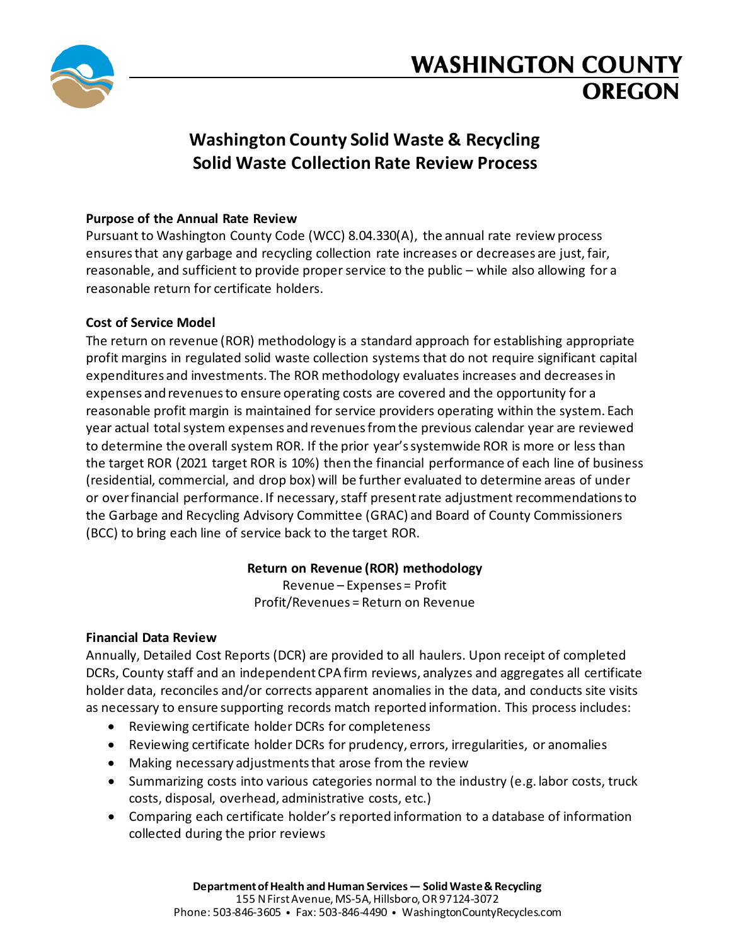

# **WASHINGTON COUNTY** OREGON

# **Washington County Solid Waste & Recycling Solid Waste Collection Rate Review Process**

#### **Purpose of the Annual Rate Review**

Pursuant to Washington County Code (WCC) 8.04.330(A), the annual rate review process ensures that any garbage and recycling collection rate increases or decreases are just, fair, reasonable, and sufficient to provide proper service to the public – while also allowing for a reasonable return for certificate holders.

#### **Cost of Service Model**

The return on revenue (ROR) methodology is a standard approach for establishing appropriate profit margins in regulated solid waste collection systems that do not require significant capital expenditures and investments. The ROR methodology evaluates increases and decreases in expenses and revenues to ensure operating costs are covered and the opportunity for a reasonable profit margin is maintained forservice providers operating within the system. Each year actual total system expenses and revenues from the previous calendar year are reviewed to determine the overall system ROR. If the prior year's systemwide ROR is more or less than the target ROR (2021 target ROR is 10%) then the financial performance of each line of business (residential, commercial, and drop box) will be further evaluated to determine areas of under or overfinancial performance. If necessary, staff present rate adjustment recommendations to the Garbage and Recycling Advisory Committee (GRAC) and Board of County Commissioners (BCC) to bring each line of service back to the target ROR.

#### **Return on Revenue (ROR) methodology**

Revenue – Expenses = Profit Profit/Revenues = Return on Revenue

#### **Financial Data Review**

Annually, Detailed Cost Reports (DCR) are provided to all haulers. Upon receipt of completed DCRs, County staff and an independent CPA firm reviews, analyzes and aggregates all certificate holder data, reconciles and/or corrects apparent anomalies in the data, and conducts site visits as necessary to ensure supporting records match reported information. This process includes:

- Reviewing certificate holder DCRs for completeness
- Reviewing certificate holder DCRs for prudency, errors, irregularities, or anomalies
- Making necessary adjustments that arose from the review
- Summarizing costs into various categories normal to the industry (e.g. labor costs, truck costs, disposal, overhead, administrative costs, etc.)
- Comparing each certificate holder's reported information to a database of information collected during the prior reviews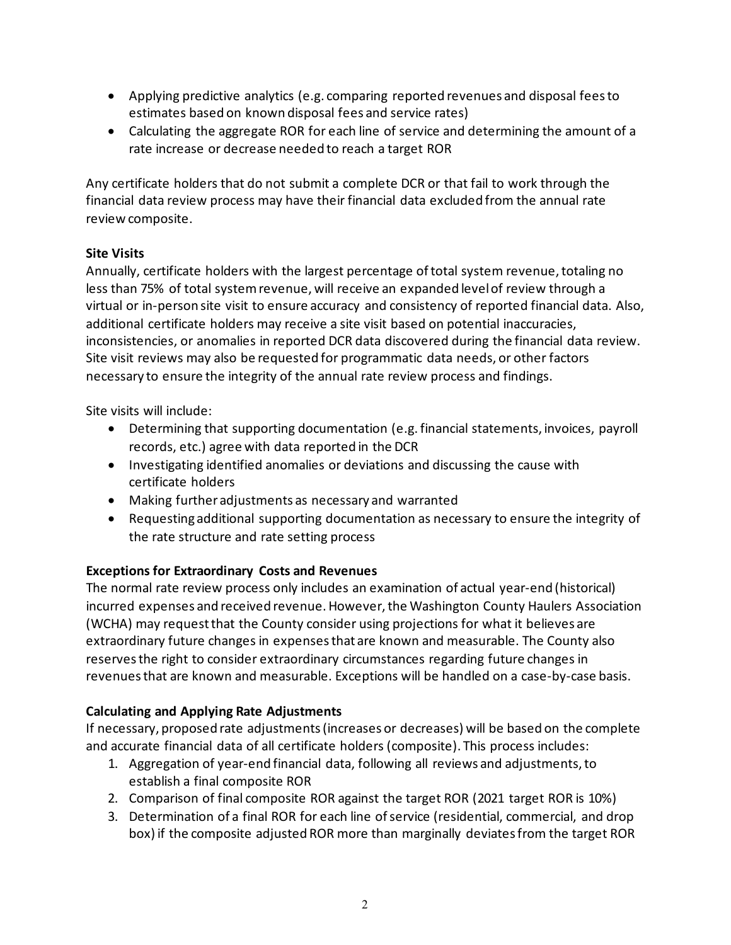- Applying predictive analytics (e.g. comparing reported revenues and disposal fees to estimates based on known disposal fees and service rates)
- Calculating the aggregate ROR for each line of service and determining the amount of a rate increase or decrease needed to reach a target ROR

Any certificate holders that do not submit a complete DCR or that fail to work through the financial data review process may have their financial data excluded from the annual rate review composite.

# **Site Visits**

Annually, certificate holders with the largest percentage of total system revenue, totaling no less than 75% of total system revenue, will receive an expanded level of review through a virtual or in-person site visit to ensure accuracy and consistency of reported financial data. Also, additional certificate holders may receive a site visit based on potential inaccuracies, inconsistencies, or anomalies in reported DCR data discovered during the financial data review. Site visit reviews may also be requested for programmatic data needs, or other factors necessary to ensure the integrity of the annual rate review process and findings.

Site visits will include:

- Determining that supporting documentation (e.g. financial statements, invoices, payroll records, etc.) agree with data reported in the DCR
- Investigating identified anomalies or deviations and discussing the cause with certificate holders
- Making further adjustments as necessary and warranted
- Requesting additional supporting documentation as necessary to ensure the integrity of the rate structure and rate setting process

# **Exceptions for Extraordinary Costs and Revenues**

The normal rate review process only includes an examination of actual year-end (historical) incurred expenses and received revenue. However, the Washington County Haulers Association (WCHA) may request that the County consider using projections for what it believes are extraordinary future changes in expensesthat are known and measurable. The County also reserves the right to consider extraordinary circumstances regarding future changes in revenues that are known and measurable. Exceptions will be handled on a case-by-case basis.

# **Calculating and Applying Rate Adjustments**

If necessary, proposed rate adjustments (increases or decreases) will be based on the complete and accurate financial data of all certificate holders (composite). This process includes:

- 1. Aggregation of year-end financial data, following all reviews and adjustments, to establish a final composite ROR
- 2. Comparison of final composite ROR against the target ROR (2021 target ROR is 10%)
- 3. Determination of a final ROR for each line of service (residential, commercial, and drop box) if the composite adjusted ROR more than marginally deviates from the target ROR